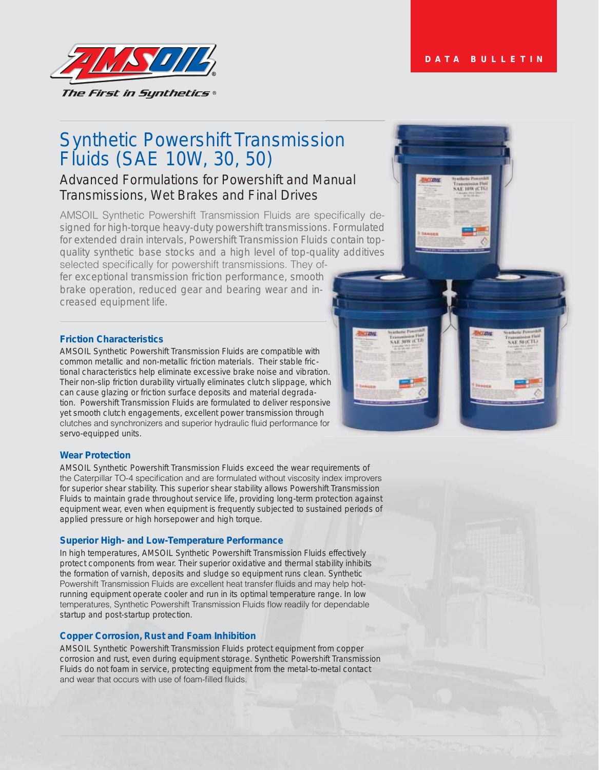AF 50 (CTL)



## Synthetic Powershift Transmission Fluids (SAE 10W, 30, 50) on

# Advanced Formulations for Powershift and Manual Transmissions, Wet Brakes and Final Drives

AMSOIL Synthetic Powershift Transmission Fluids are specifically designed for high-torque heavy-duty powershift transmissions. Formulated for extended drain intervals, Powershift Transmission Fluids contain topquality synthetic base stocks and a high level of top-quality additives ls co<br>ality<br>f-

selected specifically for powershift transmissions. They offer exceptional transmission friction performance, smooth brake operation, reduced gear and bearing wear and increased equipment life.

### **Friction Characteristics**

AMSOIL Synthetic Powershift Transmission Fluids are compatible with common metallic and non-metallic friction materials. Their stable frictional characteristics help eliminate excessive brake noise and vibration. Their non-slip friction durability virtually eliminates clutch slippage, which can cause glazing or friction surface deposits and material degradation. Powershift Transmission Fluids are formulated to deliver responsive yet smooth clutch engagements, excellent power transmission through clutches and synchronizers and superior hydraulic fluid performance for servo-equipped units. <sup>n.<br>ch<br>ve</sup>

### **Wear Protection**

AMSOIL Synthetic Powershift Transmission Fluids exceed the wear requirements of the Caterpillar TO-4 specification and are formulated without viscosity index improvers for superior shear stability. This superior shear stability allows Powershift Transmission Fluids to maintain grade throughout service life, providing long-term protection against equipment wear, even when equipment is frequently subjected to sustained periods of applied pressure or high horsepower and high torque.

#### **Superior High- and Low-Temperature Performance**

In high temperatures, AMSOIL Synthetic Powershift Transmission Fluids effectively protect components from wear. Their superior oxidative and thermal stability inhibits the formation of varnish, deposits and sludge so equipment runs clean. Synthetic Powershift Transmission Fluids are excellent heat transfer fluids and may help hotrunning equipment operate cooler and run in its optimal temperature range. In low temperatures, Synthetic Powershift Transmission Fluids flow readily for dependable startup and post-startup protection.

### **Copper Corrosion, Rust and Foam Inhibition**

AMSOIL Synthetic Powershift Transmission Fluids protect equipment from copper corrosion and rust, even during equipment storage. Synthetic Powershift Transmission Fluids do not foam in service, protecting equipment from the metal-to-metal contact and wear that occurs with use of foam-filled fluids.



**LE SHWICTA**